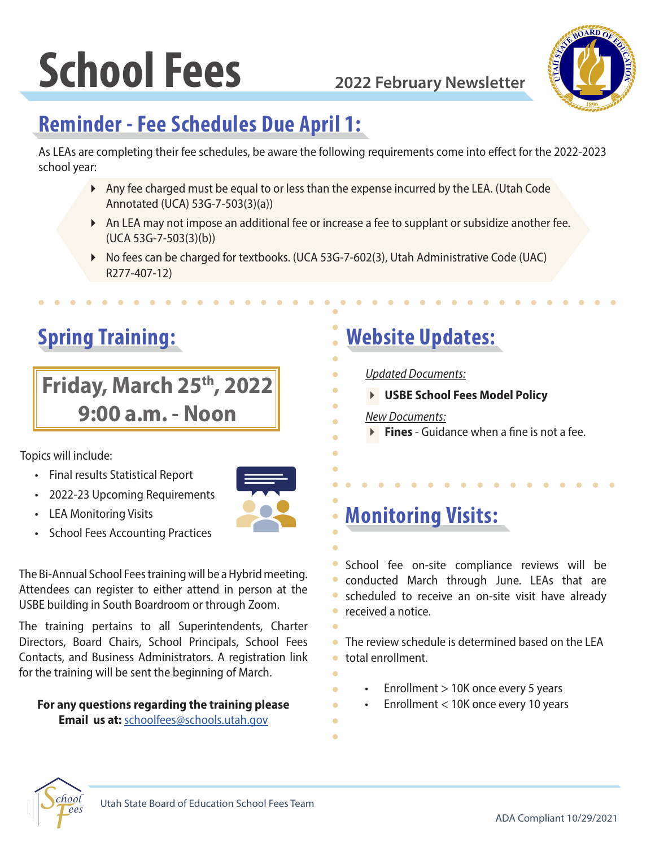# **School Fees 2022 February Newsletter**



### **Reminder - Fee Schedules Due April 1:**

As LEAs are completing their fee schedules, be aware the following requirements come into effect for the 2022-2023 school year:

- Any fee charged must be equal to or less than the expense incurred by the LEA. (Utah Code Annotated (UCA) 53G-7-503(3)(a))
- An LEA may not impose an additional fee or increase a fee to supplant or subsidize another fee. (UCA 53G-7-503(3)(b))
- ▶ No fees can be charged for textbooks. (UCA 53G-7-602(3), Utah Administrative Code (UAC) R277-407-12)

### **Spring Training:**

### **Friday, March 25th, 2022 9:00 a.m. - Noon**

Topics will include:

- Final results Statistical Report
- 2022-23 Upcoming Requirements
- **LEA Monitoring Visits**
- School Fees Accounting Practices

The Bi-Annual School Fees training will be a Hybrid meeting. Attendees can register to either attend in person at the USBE building in South Boardroom or through Zoom.

The training pertains to all Superintendents, Charter Directors, Board Chairs, School Principals, School Fees Contacts, and Business Administrators. A registration link for the training will be sent the beginning of March.

### **For any questions regarding the training please**

**Email us at:** [schoolfees@schools.utah.gov](mailto:schoolfees@schools.utah.gov)

### **Website Updates:**

- *Updated Documents:*
	- **USBE School Fees Model Policy**
	- *New Documents:*
	- **Fines** Guidance when a fine is not a fee.

### **Monitoring Visits:**

School fee on-site compliance reviews will be conducted March through June. LEAs that are scheduled to receive an on-site visit have already **•** received a notice.

The review schedule is determined based on the LEA Ä. total enrollment.  $\overline{\phantom{0}}$ 

- Enrollment > 10K once every 5 years
- Enrollment < 10K once every 10 years
- $\blacksquare$

Ä

 $\overline{\phantom{a}}$ 

ä